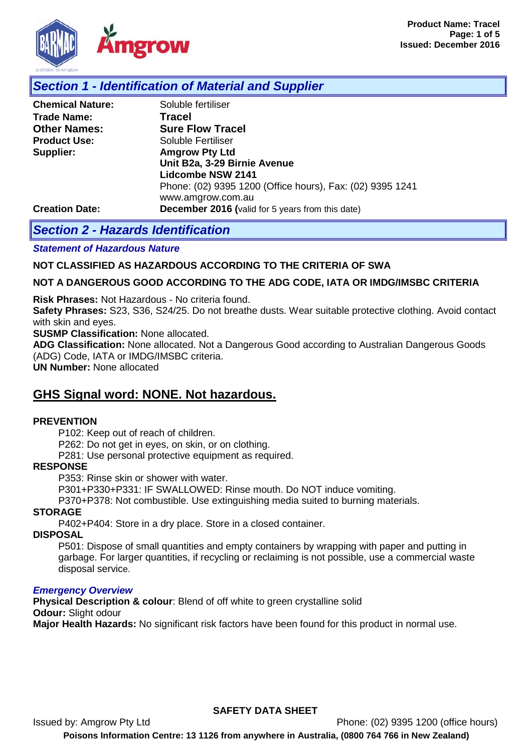

## *Section 1 - Identification of Material and Supplier*

| Soluble fertiliser                                        |
|-----------------------------------------------------------|
| <b>Tracel</b>                                             |
| <b>Sure Flow Tracel</b>                                   |
| Soluble Fertiliser                                        |
| <b>Amgrow Pty Ltd</b>                                     |
| Unit B2a, 3-29 Birnie Avenue                              |
| <b>Lidcombe NSW 2141</b>                                  |
| Phone: (02) 9395 1200 (Office hours), Fax: (02) 9395 1241 |
| www.amgrow.com.au                                         |
| <b>December 2016</b> (valid for 5 years from this date)   |
|                                                           |

# *Section 2 - Hazards Identification*

*Statement of Hazardous Nature* 

### **NOT CLASSIFIED AS HAZARDOUS ACCORDING TO THE CRITERIA OF SWA**

#### **NOT A DANGEROUS GOOD ACCORDING TO THE ADG CODE, IATA OR IMDG/IMSBC CRITERIA**

**Risk Phrases:** Not Hazardous - No criteria found.

**Safety Phrases:** S23, S36, S24/25. Do not breathe dusts. Wear suitable protective clothing. Avoid contact with skin and eyes.

**SUSMP Classification:** None allocated.

**ADG Classification:** None allocated. Not a Dangerous Good according to Australian Dangerous Goods (ADG) Code, IATA or IMDG/IMSBC criteria.

**UN Number:** None allocated

# **GHS Signal word: NONE. Not hazardous.**

#### **PREVENTION**

P102: Keep out of reach of children.

P262: Do not get in eyes, on skin, or on clothing.

P281: Use personal protective equipment as required.

#### **RESPONSE**

P353: Rinse skin or shower with water.

P301+P330+P331: IF SWALLOWED: Rinse mouth. Do NOT induce vomiting.

P370+P378: Not combustible. Use extinguishing media suited to burning materials.

#### **STORAGE**

P402+P404: Store in a dry place. Store in a closed container.

#### **DISPOSAL**

P501: Dispose of small quantities and empty containers by wrapping with paper and putting in garbage. For larger quantities, if recycling or reclaiming is not possible, use a commercial waste disposal service.

#### *Emergency Overview*

**Physical Description & colour**: Blend of off white to green crystalline solid **Odour:** Slight odour

**Major Health Hazards:** No significant risk factors have been found for this product in normal use.

### **SAFETY DATA SHEET**

Issued by: Amgrow Pty Ltd Phone: (02) 9395 1200 (office hours) **Poisons Information Centre: 13 1126 from anywhere in Australia, (0800 764 766 in New Zealand)**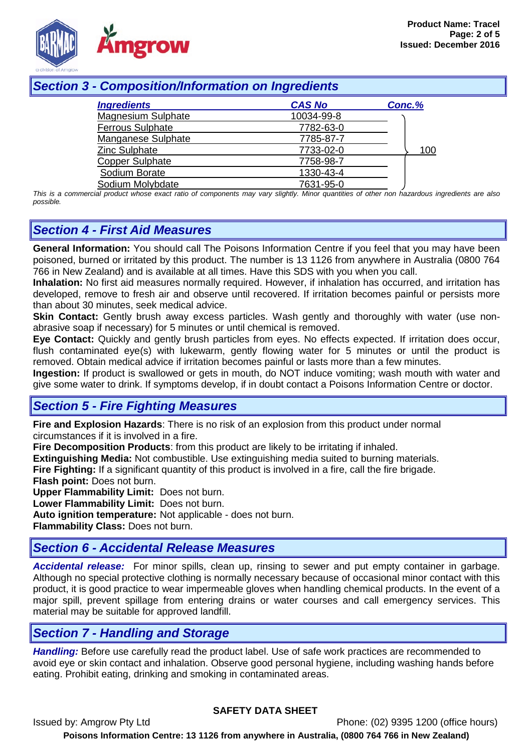

# *Section 3 - Composition/Information on Ingredients*

| <b>Ingredients</b>        | <b>CAS No</b> | Conc.% |
|---------------------------|---------------|--------|
| <b>Magnesium Sulphate</b> | 10034-99-8    |        |
| <b>Ferrous Sulphate</b>   | 7782-63-0     |        |
| Manganese Sulphate        | 7785-87-7     |        |
| Zinc Sulphate             | 7733-02-0     | 100    |
| <b>Copper Sulphate</b>    | 7758-98-7     |        |
| Sodium Borate             | 1330-43-4     |        |
| Sodium Molybdate          | 7631-95-0     |        |

*This is a commercial product whose exact ratio of components may vary slightly. Minor quantities of other non hazardous ingredients are also possible.*

# *Section 4 - First Aid Measures*

**General Information:** You should call The Poisons Information Centre if you feel that you may have been poisoned, burned or irritated by this product. The number is 13 1126 from anywhere in Australia (0800 764 766 in New Zealand) and is available at all times. Have this SDS with you when you call.

**Inhalation:** No first aid measures normally required. However, if inhalation has occurred, and irritation has developed, remove to fresh air and observe until recovered. If irritation becomes painful or persists more than about 30 minutes, seek medical advice.

**Skin Contact:** Gently brush away excess particles. Wash gently and thoroughly with water (use nonabrasive soap if necessary) for 5 minutes or until chemical is removed.

**Eye Contact:** Quickly and gently brush particles from eyes. No effects expected. If irritation does occur, flush contaminated eye(s) with lukewarm, gently flowing water for 5 minutes or until the product is removed. Obtain medical advice if irritation becomes painful or lasts more than a few minutes.

**Ingestion:** If product is swallowed or gets in mouth, do NOT induce vomiting; wash mouth with water and give some water to drink. If symptoms develop, if in doubt contact a Poisons Information Centre or doctor.

# *Section 5 - Fire Fighting Measures*

**Fire and Explosion Hazards**: There is no risk of an explosion from this product under normal circumstances if it is involved in a fire.

**Fire Decomposition Products**: from this product are likely to be irritating if inhaled.

**Extinguishing Media:** Not combustible. Use extinguishing media suited to burning materials.

**Fire Fighting:** If a significant quantity of this product is involved in a fire, call the fire brigade.

**Flash point:** Does not burn.

**Upper Flammability Limit:** Does not burn.

**Lower Flammability Limit:** Does not burn.

**Auto ignition temperature:** Not applicable - does not burn.

**Flammability Class:** Does not burn.

# *Section 6 - Accidental Release Measures*

*Accidental release:* For minor spills, clean up, rinsing to sewer and put empty container in garbage. Although no special protective clothing is normally necessary because of occasional minor contact with this product, it is good practice to wear impermeable gloves when handling chemical products. In the event of a major spill, prevent spillage from entering drains or water courses and call emergency services. This material may be suitable for approved landfill.

# *Section 7 - Handling and Storage*

*Handling:* Before use carefully read the product label. Use of safe work practices are recommended to avoid eye or skin contact and inhalation. Observe good personal hygiene, including washing hands before eating. Prohibit eating, drinking and smoking in contaminated areas.

### **SAFETY DATA SHEET**

Issued by: Amgrow Pty Ltd Phone: (02) 9395 1200 (office hours) **Poisons Information Centre: 13 1126 from anywhere in Australia, (0800 764 766 in New Zealand)**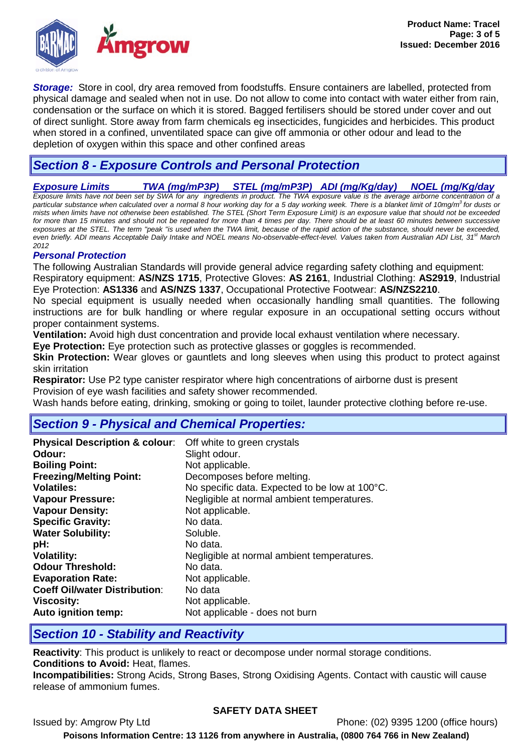

*Storage:* Store in cool, dry area removed from foodstuffs. Ensure containers are labelled, protected from physical damage and sealed when not in use. Do not allow to come into contact with water either from rain, condensation or the surface on which it is stored. Bagged fertilisers should be stored under cover and out of direct sunlight. Store away from farm chemicals eg insecticides, fungicides and herbicides. This product when stored in a confined, unventilated space can give off ammonia or other odour and lead to the depletion of oxygen within this space and other confined areas

# *Section 8 - Exposure Controls and Personal Protection*

*Exposure Limits TWA (mg/mP3P) STEL (mg/mP3P) ADI (mg/Kg/day) NOEL (mg/Kg/day*

Exposure limits have not been set by SWA for any ingredients in product. The TWA exposure value is the average airborne concentration of a<br>particular substance when calculated over a normal 8 hour working day for a 5 day *mists when limits have not otherwise been established. The STEL (Short Term Exposure Limit) is an exposure value that should not be exceeded*  for more than 15 minutes and should not be repeated for more than 4 times per day. There should be at least 60 minutes between successive *exposures at the STEL. The term "peak "is used when the TWA limit, because of the rapid action of the substance, should never be exceeded, even briefly. ADI means Acceptable Daily Intake and NOEL means No-observable-effect-level. Values taken from Australian ADI List, 31<sup>st</sup> March 2012*

## *Personal Protection*

The following Australian Standards will provide general advice regarding safety clothing and equipment: Respiratory equipment: **AS/NZS 1715**, Protective Gloves: **AS 2161**, Industrial Clothing: **AS2919**, Industrial Eye Protection: **AS1336** and **AS/NZS 1337**, Occupational Protective Footwear: **AS/NZS2210**.

No special equipment is usually needed when occasionally handling small quantities. The following instructions are for bulk handling or where regular exposure in an occupational setting occurs without proper containment systems.

**Ventilation:** Avoid high dust concentration and provide local exhaust ventilation where necessary.

**Eye Protection:** Eye protection such as protective glasses or goggles is recommended.

**Skin Protection:** Wear gloves or gauntlets and long sleeves when using this product to protect against skin irritation

**Respirator:** Use P2 type canister respirator where high concentrations of airborne dust is present Provision of eye wash facilities and safety shower recommended.

Wash hands before eating, drinking, smoking or going to toilet, launder protective clothing before re-use.

# *Section 9 - Physical and Chemical Properties:*

| <b>Physical Description &amp; colour:</b> | Off white to green crystals                    |
|-------------------------------------------|------------------------------------------------|
| Odour:                                    | Slight odour.                                  |
| <b>Boiling Point:</b>                     | Not applicable.                                |
| <b>Freezing/Melting Point:</b>            | Decomposes before melting.                     |
| <b>Volatiles:</b>                         | No specific data. Expected to be low at 100°C. |
| <b>Vapour Pressure:</b>                   | Negligible at normal ambient temperatures.     |
| <b>Vapour Density:</b>                    | Not applicable.                                |
| <b>Specific Gravity:</b>                  | No data.                                       |
| <b>Water Solubility:</b>                  | Soluble.                                       |
| pH:                                       | No data.                                       |
| <b>Volatility:</b>                        | Negligible at normal ambient temperatures.     |
| <b>Odour Threshold:</b>                   | No data.                                       |
| <b>Evaporation Rate:</b>                  | Not applicable.                                |
| <b>Coeff Oil/water Distribution:</b>      | No data                                        |
| <b>Viscosity:</b>                         | Not applicable.                                |
| Auto ignition temp:                       | Not applicable - does not burn                 |

# *Section 10 - Stability and Reactivity*

**Reactivity**: This product is unlikely to react or decompose under normal storage conditions. **Conditions to Avoid:** Heat, flames.

**Incompatibilities:** Strong Acids, Strong Bases, Strong Oxidising Agents. Contact with caustic will cause release of ammonium fumes.

### **SAFETY DATA SHEET**

Issued by: Amgrow Pty Ltd Phone: (02) 9395 1200 (office hours) **Poisons Information Centre: 13 1126 from anywhere in Australia, (0800 764 766 in New Zealand)**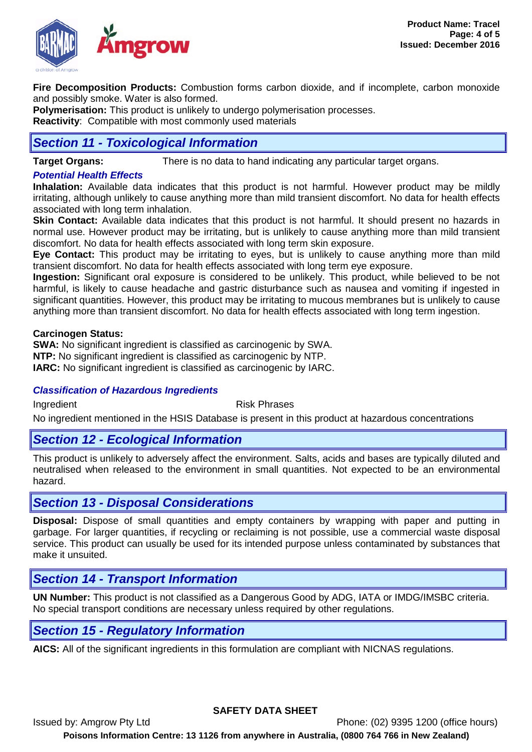

**Fire Decomposition Products:** Combustion forms carbon dioxide, and if incomplete, carbon monoxide and possibly smoke. Water is also formed.

**Polymerisation:** This product is unlikely to undergo polymerisation processes.

**Reactivity**: Compatible with most commonly used materials

# *Section 11 - Toxicological Information*

**Target Organs:** There is no data to hand indicating any particular target organs.

## *Potential Health Effects*

**Inhalation:** Available data indicates that this product is not harmful. However product may be mildly irritating, although unlikely to cause anything more than mild transient discomfort. No data for health effects associated with long term inhalation.

**Skin Contact:** Available data indicates that this product is not harmful. It should present no hazards in normal use. However product may be irritating, but is unlikely to cause anything more than mild transient discomfort. No data for health effects associated with long term skin exposure.

**Eye Contact:** This product may be irritating to eyes, but is unlikely to cause anything more than mild transient discomfort. No data for health effects associated with long term eye exposure.

**Ingestion:** Significant oral exposure is considered to be unlikely. This product, while believed to be not harmful, is likely to cause headache and gastric disturbance such as nausea and vomiting if ingested in significant quantities. However, this product may be irritating to mucous membranes but is unlikely to cause anything more than transient discomfort. No data for health effects associated with long term ingestion.

### **Carcinogen Status:**

**SWA:** No significant ingredient is classified as carcinogenic by SWA. **NTP:** No significant ingredient is classified as carcinogenic by NTP. **IARC:** No significant ingredient is classified as carcinogenic by IARC.

### *Classification of Hazardous Ingredients*

Ingredient **Risk Phrases** 

No ingredient mentioned in the HSIS Database is present in this product at hazardous concentrations

# *Section 12 - Ecological Information*

This product is unlikely to adversely affect the environment. Salts, acids and bases are typically diluted and neutralised when released to the environment in small quantities. Not expected to be an environmental hazard.

# *Section 13 - Disposal Considerations*

**Disposal:** Dispose of small quantities and empty containers by wrapping with paper and putting in garbage. For larger quantities, if recycling or reclaiming is not possible, use a commercial waste disposal service. This product can usually be used for its intended purpose unless contaminated by substances that make it unsuited.

# *Section 14 - Transport Information*

**UN Number:** This product is not classified as a Dangerous Good by ADG, IATA or IMDG/IMSBC criteria. No special transport conditions are necessary unless required by other regulations.

# *Section 15 - Regulatory Information*

**AICS:** All of the significant ingredients in this formulation are compliant with NICNAS regulations.